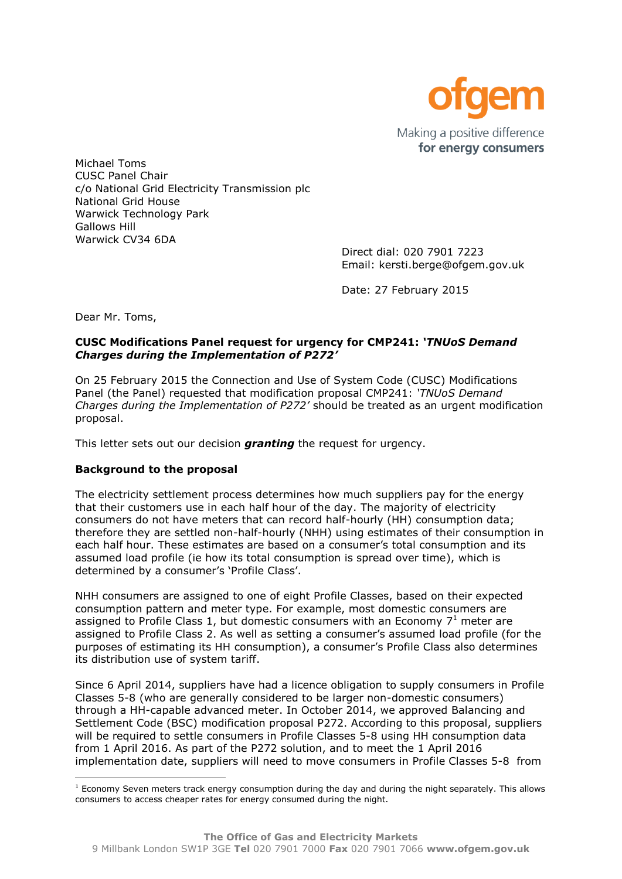

Michael Toms CUSC Panel Chair c/o National Grid Electricity Transmission plc National Grid House Warwick Technology Park Gallows Hill Warwick CV34 6DA

> Direct dial: 020 7901 7223 Email: kersti.berge@ofgem.gov.uk

Date: 27 February 2015

Dear Mr. Toms,

 $\overline{a}$ 

## **CUSC Modifications Panel request for urgency for CMP241:** *'TNUoS Demand Charges during the Implementation of P272'*

On 25 February 2015 the Connection and Use of System Code (CUSC) Modifications Panel (the Panel) requested that modification proposal CMP241: *'TNUoS Demand Charges during the Implementation of P272'* should be treated as an urgent modification proposal.

This letter sets out our decision *granting* the request for urgency.

# **Background to the proposal**

The electricity settlement process determines how much suppliers pay for the energy that their customers use in each half hour of the day. The majority of electricity consumers do not have meters that can record half-hourly (HH) consumption data; therefore they are settled non-half-hourly (NHH) using estimates of their consumption in each half hour. These estimates are based on a consumer's total consumption and its assumed load profile (ie how its total consumption is spread over time), which is determined by a consumer's 'Profile Class'.

NHH consumers are assigned to one of eight Profile Classes, based on their expected consumption pattern and meter type. For example, most domestic consumers are assigned to Profile Class 1, but domestic consumers with an Economy  $7<sup>1</sup>$  meter are assigned to Profile Class 2. As well as setting a consumer's assumed load profile (for the purposes of estimating its HH consumption), a consumer's Profile Class also determines its distribution use of system tariff.

Since 6 April 2014, suppliers have had a licence obligation to supply consumers in Profile Classes 5-8 (who are generally considered to be larger non-domestic consumers) through a HH-capable advanced meter. In October 2014, we approved Balancing and Settlement Code (BSC) modification proposal P272. According to this proposal, suppliers will be required to settle consumers in Profile Classes 5-8 using HH consumption data from 1 April 2016. As part of the P272 solution, and to meet the 1 April 2016 implementation date, suppliers will need to move consumers in Profile Classes 5-8 from

 $1$  Economy Seven meters track energy consumption during the day and during the night separately. This allows consumers to access cheaper rates for energy consumed during the night.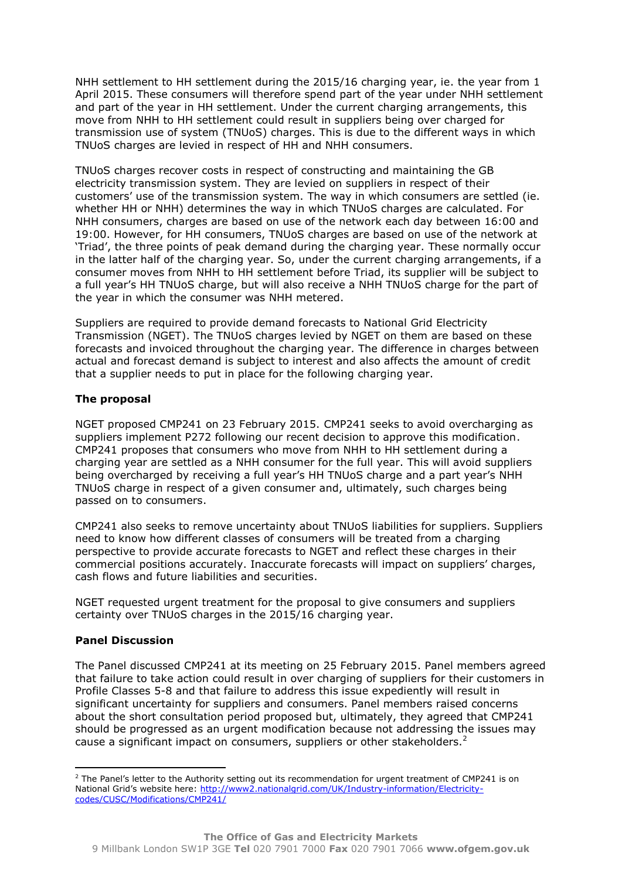NHH settlement to HH settlement during the 2015/16 charging year, ie. the year from 1 April 2015. These consumers will therefore spend part of the year under NHH settlement and part of the year in HH settlement. Under the current charging arrangements, this move from NHH to HH settlement could result in suppliers being over charged for transmission use of system (TNUoS) charges. This is due to the different ways in which TNUoS charges are levied in respect of HH and NHH consumers.

TNUoS charges recover costs in respect of constructing and maintaining the GB electricity transmission system. They are levied on suppliers in respect of their customers' use of the transmission system. The way in which consumers are settled (ie. whether HH or NHH) determines the way in which TNUoS charges are calculated. For NHH consumers, charges are based on use of the network each day between 16:00 and 19:00. However, for HH consumers, TNUoS charges are based on use of the network at 'Triad', the three points of peak demand during the charging year. These normally occur in the latter half of the charging year. So, under the current charging arrangements, if a consumer moves from NHH to HH settlement before Triad, its supplier will be subject to a full year's HH TNUoS charge, but will also receive a NHH TNUoS charge for the part of the year in which the consumer was NHH metered.

Suppliers are required to provide demand forecasts to National Grid Electricity Transmission (NGET). The TNUoS charges levied by NGET on them are based on these forecasts and invoiced throughout the charging year. The difference in charges between actual and forecast demand is subject to interest and also affects the amount of credit that a supplier needs to put in place for the following charging year.

#### **The proposal**

NGET proposed CMP241 on 23 February 2015. CMP241 seeks to avoid overcharging as suppliers implement P272 following our recent decision to approve this modification. CMP241 proposes that consumers who move from NHH to HH settlement during a charging year are settled as a NHH consumer for the full year. This will avoid suppliers being overcharged by receiving a full year's HH TNUoS charge and a part year's NHH TNUoS charge in respect of a given consumer and, ultimately, such charges being passed on to consumers.

CMP241 also seeks to remove uncertainty about TNUoS liabilities for suppliers. Suppliers need to know how different classes of consumers will be treated from a charging perspective to provide accurate forecasts to NGET and reflect these charges in their commercial positions accurately. Inaccurate forecasts will impact on suppliers' charges, cash flows and future liabilities and securities.

NGET requested urgent treatment for the proposal to give consumers and suppliers certainty over TNUoS charges in the 2015/16 charging year.

# **Panel Discussion**

The Panel discussed CMP241 at its meeting on 25 February 2015. Panel members agreed that failure to take action could result in over charging of suppliers for their customers in Profile Classes 5-8 and that failure to address this issue expediently will result in significant uncertainty for suppliers and consumers. Panel members raised concerns about the short consultation period proposed but, ultimately, they agreed that CMP241 should be progressed as an urgent modification because not addressing the issues may cause a significant impact on consumers, suppliers or other stakeholders. $2^2$ 

**<sup>.</sup>** <sup>2</sup> The Panel's letter to the Authority setting out its recommendation for urgent treatment of CMP241 is on National Grid's website here: [http://www2.nationalgrid.com/UK/Industry-information/Electricity](http://www2.nationalgrid.com/UK/Industry-information/Electricity-codes/CUSC/Modifications/CMP241/)[codes/CUSC/Modifications/CMP241/](http://www2.nationalgrid.com/UK/Industry-information/Electricity-codes/CUSC/Modifications/CMP241/)